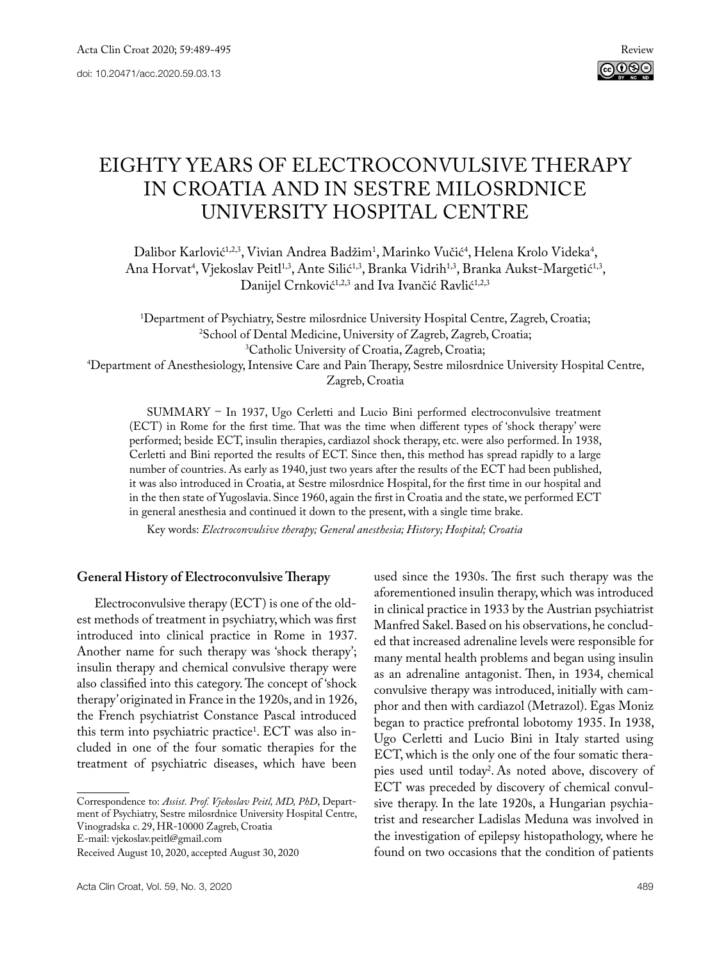# EIGHTY YEARS OF ELECTROCONVULSIVE THERAPY IN CROATIA AND IN SESTRE MILOSRDNICE UNIVERSITY HOSPITAL CENTRE

Dalibor Karlović<sup>1,2,3</sup>, Vivian Andrea Badžim<sup>1</sup>, Marinko Vučić<sup>4</sup>, Helena Krolo Videka<sup>4</sup>, Ana Horvat<sup>4</sup>, Vjekoslav Peitl<sup>1,3</sup>, Ante Silić<sup>1,3</sup>, Branka Vidrih<sup>1,3</sup>, Branka Aukst-Margetić<sup>1,3</sup>, Danijel Crnković<sup>1,2,3</sup> and Iva Ivančić Ravlić<sup>1,2,3</sup>

<sup>1</sup>Department of Psychiatry, Sestre milosrdnice University Hospital Centre, Zagreb, Croatia;<br><sup>2</sup>School of Dental Medicine. University of Zagreb, Zagreb, Croatia; <sup>2</sup>School of Dental Medicine, University of Zagreb, Zagreb, Croatia;<br><sup>3</sup>Catholic University of Croatia, Zagreb, Croatia; Catholic University of Croatia, Zagreb, Croatia; 4 Department of Anesthesiology, Intensive Care and Pain Therapy, Sestre milosrdnice University Hospital Centre, Zagreb, Croatia

Summary – In 1937, Ugo Cerletti and Lucio Bini performed electroconvulsive treatment (ECT) in Rome for the first time. That was the time when different types of 'shock therapy' were performed; beside ECT, insulin therapies, cardiazol shock therapy, etc. were also performed. In 1938, Cerletti and Bini reported the results of ECT. Since then, this method has spread rapidly to a large number of countries. As early as 1940, just two years after the results of the ECT had been published, it was also introduced in Croatia, at Sestre milosrdnice Hospital, for the first time in our hospital and in the then state of Yugoslavia. Since 1960, again the first in Croatia and the state, we performed ECT in general anesthesia and continued it down to the present, with a single time brake.

Key words: *Electroconvulsive therapy; General anesthesia; History; Hospital; Croatia*

## **General History of Electroconvulsive Therapy**

Electroconvulsive therapy (ECT) is one of the oldest methods of treatment in psychiatry, which was first introduced into clinical practice in Rome in 1937. Another name for such therapy was 'shock therapy'; insulin therapy and chemical convulsive therapy were also classified into this category. The concept of 'shock therapy' originated in France in the 1920s, and in 1926, the French psychiatrist Constance Pascal introduced this term into psychiatric practice1 . ECT was also included in one of the four somatic therapies for the treatment of psychiatric diseases, which have been

Correspondence to: *Assist. Prof. Vjekoslav Peitl, MD, PhD*, Department of Psychiatry, Sestre milosrdnice University Hospital Centre, Vinogradska c. 29, HR-10000 Zagreb, Croatia

E-mail: [vjekoslav.peitl@](mailto:vivian_vukic@hotmail.com)gmail.com

used since the 1930s. The first such therapy was the aforementioned insulin therapy, which was introduced in clinical practice in 1933 by the Austrian psychiatrist Manfred Sakel. Based on his observations, he concluded that increased adrenaline levels were responsible for many mental health problems and began using insulin as an adrenaline antagonist. Then, in 1934, chemical convulsive therapy was introduced, initially with camphor and then with cardiazol (Metrazol). Egas Moniz began to practice prefrontal lobotomy 1935. In 1938, Ugo Cerletti and Lucio Bini in Italy started using ECT, which is the only one of the four somatic therapies used until today2 . As noted above, discovery of ECT was preceded by discovery of chemical convulsive therapy. In the late 1920s, a Hungarian psychiatrist and researcher Ladislas Meduna was involved in the investigation of epilepsy histopathology, where he found on two occasions that the condition of patients

Received August 10, 2020, accepted August 30, 2020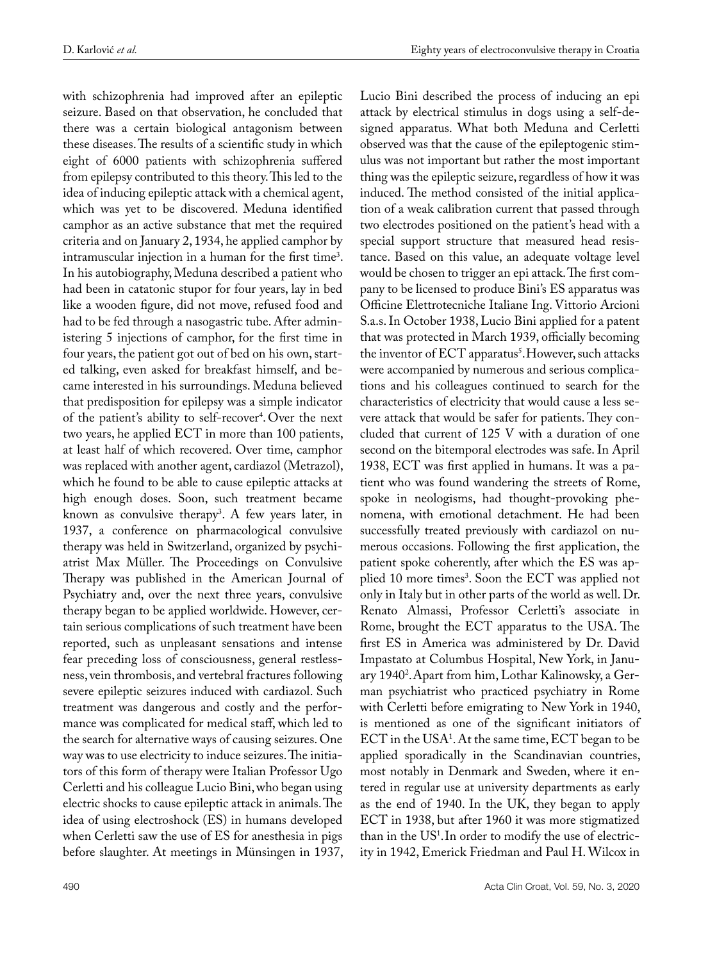with schizophrenia had improved after an epileptic seizure. Based on that observation, he concluded that there was a certain biological antagonism between these diseases. The results of a scientific study in which eight of 6000 patients with schizophrenia suffered from epilepsy contributed to this theory. This led to the idea of inducing epileptic attack with a chemical agent, which was yet to be discovered. Meduna identified camphor as an active substance that met the required criteria and on January 2, 1934, he applied camphor by intramuscular injection in a human for the first time3 . In his autobiography, Meduna described a patient who had been in catatonic stupor for four years, lay in bed like a wooden figure, did not move, refused food and had to be fed through a nasogastric tube. After administering 5 injections of camphor, for the first time in four years, the patient got out of bed on his own, started talking, even asked for breakfast himself, and became interested in his surroundings. Meduna believed that predisposition for epilepsy was a simple indicator of the patient's ability to self-recover4 . Over the next two years, he applied ECT in more than 100 patients, at least half of which recovered. Over time, camphor was replaced with another agent, cardiazol (Metrazol), which he found to be able to cause epileptic attacks at high enough doses. Soon, such treatment became known as convulsive therapy<sup>3</sup>. A few years later, in 1937, a conference on pharmacological convulsive therapy was held in Switzerland, organized by psychiatrist Max Müller. The Proceedings on Convulsive Therapy was published in the American Journal of Psychiatry and, over the next three years, convulsive therapy began to be applied worldwide. However, certain serious complications of such treatment have been reported, such as unpleasant sensations and intense fear preceding loss of consciousness, general restlessness, vein thrombosis, and vertebral fractures following severe epileptic seizures induced with cardiazol. Such treatment was dangerous and costly and the performance was complicated for medical staff, which led to the search for alternative ways of causing seizures. One way was to use electricity to induce seizures. The initiators of this form of therapy were Italian Professor Ugo Cerletti and his colleague Lucio Bini, who began using electric shocks to cause epileptic attack in animals. The idea of using electroshock (ES) in humans developed when Cerletti saw the use of ES for anesthesia in pigs before slaughter. At meetings in Münsingen in 1937,

Lucio Bini described the process of inducing an epi attack by electrical stimulus in dogs using a self-designed apparatus. What both Meduna and Cerletti observed was that the cause of the epileptogenic stimulus was not important but rather the most important thing was the epileptic seizure, regardless of how it was induced. The method consisted of the initial application of a weak calibration current that passed through two electrodes positioned on the patient's head with a special support structure that measured head resistance. Based on this value, an adequate voltage level would be chosen to trigger an epi attack. The first company to be licensed to produce Bini's ES apparatus was Officine Elettrotecniche Italiane Ing. Vittorio Arcioni S.a.s. In October 1938, Lucio Bini applied for a patent that was protected in March 1939, officially becoming the inventor of ECT apparatus<sup>5</sup>. However, such attacks were accompanied by numerous and serious complications and his colleagues continued to search for the characteristics of electricity that would cause a less severe attack that would be safer for patients. They concluded that current of 125 V with a duration of one second on the bitemporal electrodes was safe. In April 1938, ECT was first applied in humans. It was a patient who was found wandering the streets of Rome, spoke in neologisms, had thought-provoking phenomena, with emotional detachment. He had been successfully treated previously with cardiazol on numerous occasions. Following the first application, the patient spoke coherently, after which the ES was applied 10 more times<sup>3</sup>. Soon the ECT was applied not only in Italy but in other parts of the world as well. Dr. Renato Almassi, Professor Cerletti's associate in Rome, brought the ECT apparatus to the USA. The first ES in America was administered by Dr. David Impastato at Columbus Hospital, New York, in January 19402 .Apart from him, Lothar Kalinowsky, a German psychiatrist who practiced psychiatry in Rome with Cerletti before emigrating to New York in 1940, is mentioned as one of the significant initiators of  $ECT$  in the  $USA<sup>1</sup>$ . At the same time,  $ECT$  began to be applied sporadically in the Scandinavian countries, most notably in Denmark and Sweden, where it entered in regular use at university departments as early as the end of 1940. In the UK, they began to apply ECT in 1938, but after 1960 it was more stigmatized than in the  $US^1$ . In order to modify the use of electricity in 1942, Emerick Friedman and Paul H. Wilcox in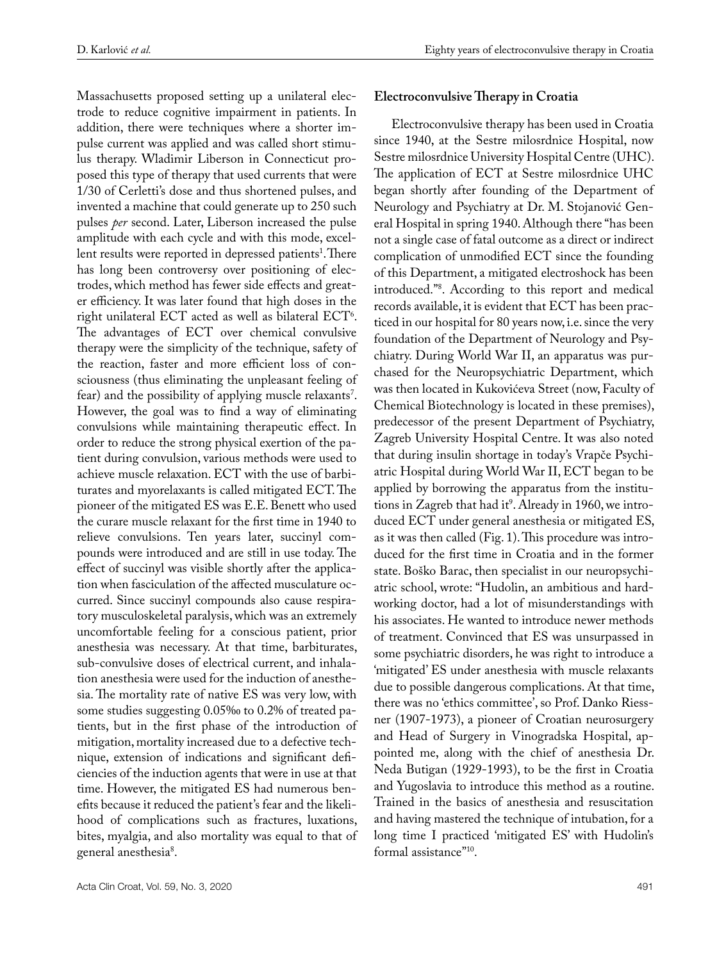Massachusetts proposed setting up a unilateral electrode to reduce cognitive impairment in patients. In addition, there were techniques where a shorter impulse current was applied and was called short stimulus therapy. Wladimir Liberson in Connecticut proposed this type of therapy that used currents that were 1/30 of Cerletti's dose and thus shortened pulses, and invented a machine that could generate up to 250 such pulses *per* second. Later, Liberson increased the pulse amplitude with each cycle and with this mode, excellent results were reported in depressed patients<sup>1</sup>.There has long been controversy over positioning of electrodes, which method has fewer side effects and greater efficiency. It was later found that high doses in the right unilateral  $ECT$  acted as well as bilateral  $ECT^6$ . The advantages of ECT over chemical convulsive therapy were the simplicity of the technique, safety of the reaction, faster and more efficient loss of consciousness (thus eliminating the unpleasant feeling of  $fear$ ) and the possibility of applying muscle relaxants'. However, the goal was to find a way of eliminating convulsions while maintaining therapeutic effect. In order to reduce the strong physical exertion of the patient during convulsion, various methods were used to achieve muscle relaxation. ECT with the use of barbiturates and myorelaxants is called mitigated ECT. The pioneer of the mitigated ES was E.E. Benett who used the curare muscle relaxant for the first time in 1940 to relieve convulsions. Ten years later, succinyl compounds were introduced and are still in use today. The effect of succinyl was visible shortly after the application when fasciculation of the affected musculature occurred. Since succinyl compounds also cause respiratory musculoskeletal paralysis, which was an extremely uncomfortable feeling for a conscious patient, prior anesthesia was necessary. At that time, barbiturates, sub-convulsive doses of electrical current, and inhalation anesthesia were used for the induction of anesthesia. The mortality rate of native ES was very low, with some studies suggesting 0.05‰ to 0.2% of treated patients, but in the first phase of the introduction of mitigation, mortality increased due to a defective technique, extension of indications and significant deficiencies of the induction agents that were in use at that time. However, the mitigated ES had numerous benefits because it reduced the patient's fear and the likelihood of complications such as fractures, luxations, bites, myalgia, and also mortality was equal to that of general anesthesia<sup>8</sup>.

## **Electroconvulsive Therapy in Croatia**

Electroconvulsive therapy has been used in Croatia since 1940, at the Sestre milosrdnice Hospital, now Sestre milosrdnice University Hospital Centre (UHC). The application of ECT at Sestre milosrdnice UHC began shortly after founding of the Department of Neurology and Psychiatry at Dr. M. Stojanović General Hospital in spring 1940. Although there "has been not a single case of fatal outcome as a direct or indirect complication of unmodified ECT since the founding of this Department, a mitigated electroshock has been introduced."8 . According to this report and medical records available, it is evident that ECT has been practiced in our hospital for 80 years now, i.e. since the very foundation of the Department of Neurology and Psychiatry. During World War II, an apparatus was purchased for the Neuropsychiatric Department, which was then located in Kukovićeva Street (now, Faculty of Chemical Biotechnology is located in these premises), predecessor of the present Department of Psychiatry, Zagreb University Hospital Centre. It was also noted that during insulin shortage in today's Vrapče Psychiatric Hospital during World War II, ECT began to be applied by borrowing the apparatus from the institutions in Zagreb that had it<sup>9</sup>. Already in 1960, we introduced ECT under general anesthesia or mitigated ES, as it was then called (Fig. 1). This procedure was introduced for the first time in Croatia and in the former state. Boško Barac, then specialist in our neuropsychiatric school, wrote: "Hudolin, an ambitious and hardworking doctor, had a lot of misunderstandings with his associates. He wanted to introduce newer methods of treatment. Convinced that ES was unsurpassed in some psychiatric disorders, he was right to introduce a 'mitigated' ES under anesthesia with muscle relaxants due to possible dangerous complications. At that time, there was no 'ethics committee', so Prof. Danko Riessner (1907-1973), a pioneer of Croatian neurosurgery and Head of Surgery in Vinogradska Hospital, appointed me, along with the chief of anesthesia Dr. Neda Butigan (1929-1993), to be the first in Croatia and Yugoslavia to introduce this method as a routine. Trained in the basics of anesthesia and resuscitation and having mastered the technique of intubation, for a long time I practiced 'mitigated ES' with Hudolin's formal assistance"10.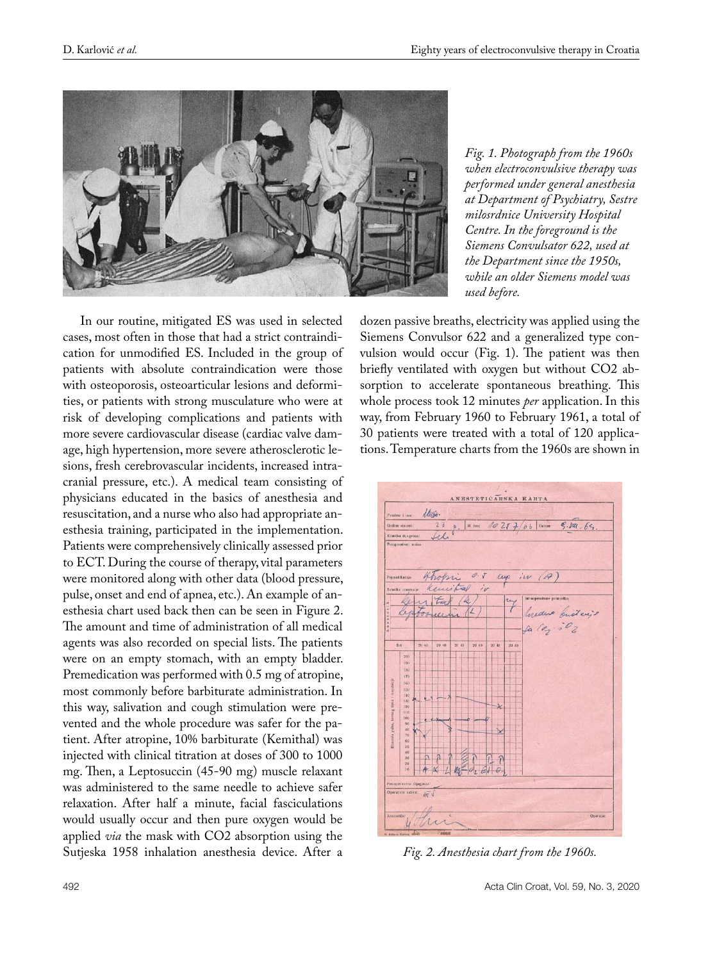

In our routine, mitigated ES was used in selected cases, most often in those that had a strict contraindication for unmodified ES. Included in the group of patients with absolute contraindication were those with osteoporosis, osteoarticular lesions and deformities, or patients with strong musculature who were at risk of developing complications and patients with more severe cardiovascular disease (cardiac valve damage, high hypertension, more severe atherosclerotic lesions, fresh cerebrovascular incidents, increased intracranial pressure, etc.). A medical team consisting of physicians educated in the basics of anesthesia and resuscitation, and a nurse who also had appropriate anesthesia training, participated in the implementation. Patients were comprehensively clinically assessed prior to ECT. During the course of therapy, vital parameters were monitored along with other data (blood pressure, pulse, onset and end of apnea, etc.). An example of anesthesia chart used back then can be seen in Figure 2. The amount and time of administration of all medical agents was also recorded on special lists. The patients were on an empty stomach, with an empty bladder. Premedication was performed with 0.5 mg of atropine, most commonly before barbiturate administration. In this way, salivation and cough stimulation were prevented and the whole procedure was safer for the patient. After atropine, 10% barbiturate (Kemithal) was injected with clinical titration at doses of 300 to 1000 mg. Then, a Leptosuccin (45-90 mg) muscle relaxant was administered to the same needle to achieve safer relaxation. After half a minute, facial fasciculations would usually occur and then pure oxygen would be applied *via* the mask with CO2 absorption using the Sutjeska 1958 inhalation anesthesia device. After a

*Fig. 1. Photograph from the 1960s when electroconvulsive therapy was performed under general anesthesia at Department of Psychiatry, Sestre milosrdnice University Hospital Centre. In the foreground is the Siemens Convulsator 622, used at the Department since the 1950s, while an older Siemens model was used before.*

dozen passive breaths, electricity was applied using the Siemens Convulsor 622 and a generalized type convulsion would occur (Fig. 1). The patient was then briefly ventilated with oxygen but without CO2 absorption to accelerate spontaneous breathing. This whole process took 12 minutes *per* application. In this way, from February 1960 to February 1961, a total of 30 patients were treated with a total of 120 applications. Temperature charts from the 1960s are shown in



*Fig. 2. Anesthesia chart from the 1960s.*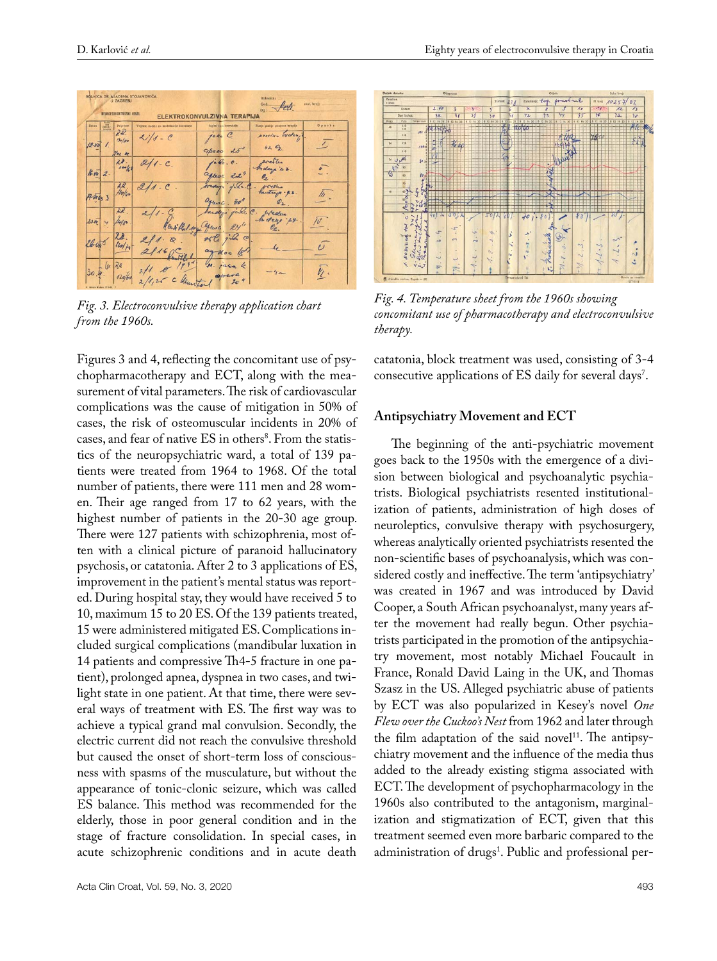

*Fig. 3. Electroconvulsive therapy application chart from the 1960s.*

Figures 3 and 4, reflecting the concomitant use of psychopharmacotherapy and ECT, along with the measurement of vital parameters. The risk of cardiovascular complications was the cause of mitigation in 50% of cases, the risk of osteomuscular incidents in 20% of cases, and fear of native ES in others<sup>8</sup>. From the statistics of the neuropsychiatric ward, a total of 139 patients were treated from 1964 to 1968. Of the total number of patients, there were 111 men and 28 women. Their age ranged from 17 to 62 years, with the highest number of patients in the 20-30 age group. There were 127 patients with schizophrenia, most often with a clinical picture of paranoid hallucinatory psychosis, or catatonia. After 2 to 3 applications of ES, improvement in the patient's mental status was reported. During hospital stay, they would have received 5 to 10, maximum 15 to 20 ES. Of the 139 patients treated, 15 were administered mitigated ES. Complications included surgical complications (mandibular luxation in 14 patients and compressive Th4-5 fracture in one patient), prolonged apnea, dyspnea in two cases, and twilight state in one patient. At that time, there were several ways of treatment with ES. The first way was to achieve a typical grand mal convulsion. Secondly, the electric current did not reach the convulsive threshold but caused the onset of short-term loss of consciousness with spasms of the musculature, but without the appearance of tonic-clonic seizure, which was called ES balance. This method was recommended for the elderly, those in poor general condition and in the stage of fracture consolidation. In special cases, in acute schizophrenic conditions and in acute death





*Fig. 4. Temperature sheet from the 1960s showing concomitant use of pharmacotherapy and electroconvulsive therapy.*

catatonia, block treatment was used, consisting of 3-4 consecutive applications of ES daily for several days<sup>7</sup>.

## **Antipsychiatry Movement and ECT**

The beginning of the anti-psychiatric movement goes back to the 1950s with the emergence of a division between biological and psychoanalytic psychiatrists. Biological psychiatrists resented institutionalization of patients, administration of high doses of neuroleptics, convulsive therapy with psychosurgery, whereas analytically oriented psychiatrists resented the non-scientific bases of psychoanalysis, which was considered costly and ineffective. The term 'antipsychiatry' was created in 1967 and was introduced by David Cooper, a South African psychoanalyst, many years after the movement had really begun. Other psychiatrists participated in the promotion of the antipsychiatry movement, most notably Michael Foucault in France, Ronald David Laing in the UK, and Thomas Szasz in the US. Alleged psychiatric abuse of patients by ECT was also popularized in Kesey's novel *One Flew over the Cuckoo's Nest* from 1962 and later through the film adaptation of the said novel $11$ . The antipsychiatry movement and the influence of the media thus added to the already existing stigma associated with ECT. The development of psychopharmacology in the 1960s also contributed to the antagonism, marginalization and stigmatization of ECT, given that this treatment seemed even more barbaric compared to the administration of drugs<sup>1</sup>. Public and professional per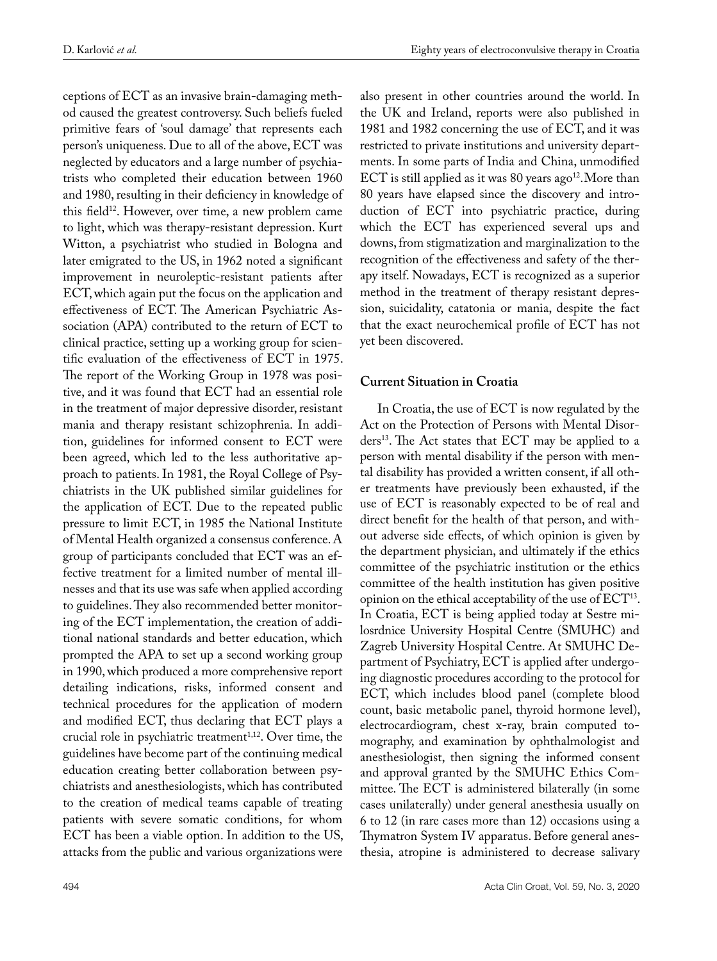ceptions of ECT as an invasive brain-damaging method caused the greatest controversy. Such beliefs fueled primitive fears of 'soul damage' that represents each person's uniqueness. Due to all of the above, ECT was neglected by educators and a large number of psychiatrists who completed their education between 1960 and 1980, resulting in their deficiency in knowledge of this field<sup>12</sup>. However, over time, a new problem came to light, which was therapy-resistant depression. Kurt Witton, a psychiatrist who studied in Bologna and later emigrated to the US, in 1962 noted a significant improvement in neuroleptic-resistant patients after ECT, which again put the focus on the application and effectiveness of ECT. The American Psychiatric Association (APA) contributed to the return of ECT to clinical practice, setting up a working group for scientific evaluation of the effectiveness of ECT in 1975. The report of the Working Group in 1978 was positive, and it was found that ECT had an essential role in the treatment of major depressive disorder, resistant mania and therapy resistant schizophrenia. In addition, guidelines for informed consent to ECT were been agreed, which led to the less authoritative approach to patients. In 1981, the Royal College of Psychiatrists in the UK published similar guidelines for the application of ECT. Due to the repeated public pressure to limit ECT, in 1985 the National Institute of Mental Health organized a consensus conference. A group of participants concluded that ECT was an effective treatment for a limited number of mental illnesses and that its use was safe when applied according to guidelines. They also recommended better monitoring of the ECT implementation, the creation of additional national standards and better education, which prompted the APA to set up a second working group in 1990, which produced a more comprehensive report detailing indications, risks, informed consent and technical procedures for the application of modern and modified ECT, thus declaring that ECT plays a crucial role in psychiatric treatment $1,12$ . Over time, the guidelines have become part of the continuing medical education creating better collaboration between psychiatrists and anesthesiologists, which has contributed to the creation of medical teams capable of treating patients with severe somatic conditions, for whom ECT has been a viable option. In addition to the US, attacks from the public and various organizations were

also present in other countries around the world. In the UK and Ireland, reports were also published in 1981 and 1982 concerning the use of ECT, and it was restricted to private institutions and university departments. In some parts of India and China, unmodified ECT is still applied as it was 80 years ago<sup>12</sup>. More than 80 years have elapsed since the discovery and introduction of ECT into psychiatric practice, during which the ECT has experienced several ups and downs, from stigmatization and marginalization to the recognition of the effectiveness and safety of the therapy itself. Nowadays, ECT is recognized as a superior method in the treatment of therapy resistant depression, suicidality, catatonia or mania, despite the fact that the exact neurochemical profile of ECT has not yet been discovered.

# **Current Situation in Croatia**

In Croatia, the use of ECT is now regulated by the Act on the Protection of Persons with Mental Disorders13. The Act states that ECT may be applied to a person with mental disability if the person with mental disability has provided a written consent, if all other treatments have previously been exhausted, if the use of ECT is reasonably expected to be of real and direct benefit for the health of that person, and without adverse side effects, of which opinion is given by the department physician, and ultimately if the ethics committee of the psychiatric institution or the ethics committee of the health institution has given positive opinion on the ethical acceptability of the use of  $\mathrm{ECT}^{\scriptscriptstyle 13}\!$ . In Croatia, ECT is being applied today at Sestre milosrdnice University Hospital Centre (SMUHC) and Zagreb University Hospital Centre. At SMUHC Department of Psychiatry, ECT is applied after undergoing diagnostic procedures according to the protocol for ECT, which includes blood panel (complete blood count, basic metabolic panel, thyroid hormone level), electrocardiogram, chest x-ray, brain computed tomography, and examination by ophthalmologist and anesthesiologist, then signing the informed consent and approval granted by the SMUHC Ethics Committee. The ECT is administered bilaterally (in some cases unilaterally) under general anesthesia usually on 6 to 12 (in rare cases more than 12) occasions using a Thymatron System IV apparatus. Before general anesthesia, atropine is administered to decrease salivary